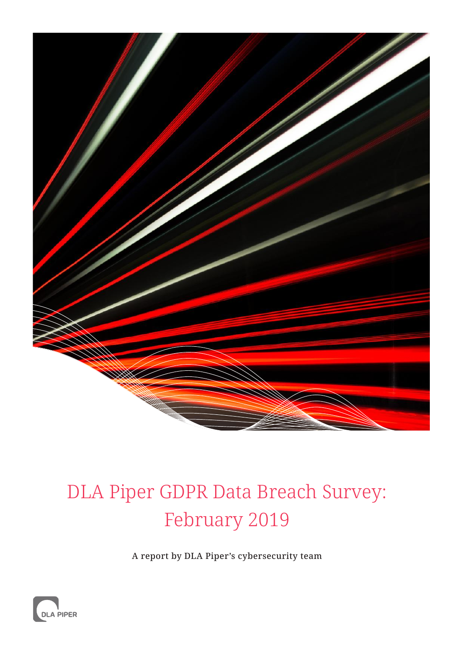

# DLA Piper GDPR Data Breach Survey: February 2019

A report by DLA Piper's cybersecurity team

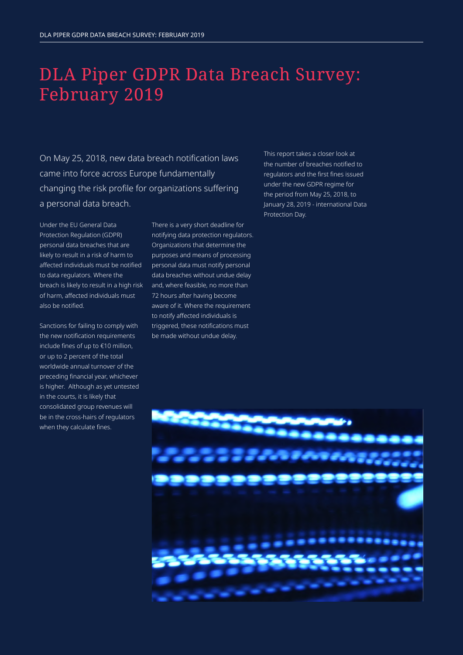### DLA Piper GDPR Data Breach Survey: February 2019

On May 25, 2018, new data breach notification laws came into force across Europe fundamentally changing the risk profile for organizations suffering a personal data breach.

Under the EU General Data Protection Regulation (GDPR) personal data breaches that are likely to result in a risk of harm to affected individuals must be notified to data regulators. Where the breach is likely to result in a high risk of harm, affected individuals must also be notified.

Sanctions for failing to comply with the new notification requirements include fines of up to €10 million, or up to 2 percent of the total worldwide annual turnover of the preceding financial year, whichever is higher. Although as yet untested in the courts, it is likely that consolidated group revenues will be in the cross-hairs of regulators when they calculate fines.

There is a very short deadline for notifying data protection regulators. Organizations that determine the purposes and means of processing personal data must notify personal data breaches without undue delay and, where feasible, no more than 72 hours after having become aware of it. Where the requirement to notify affected individuals is triggered, these notifications must be made without undue delay.

This report takes a closer look at the number of breaches notified to regulators and the first fines issued under the new GDPR regime for the period from May 25, 2018, to January 28, 2019 - international Data Protection Day.

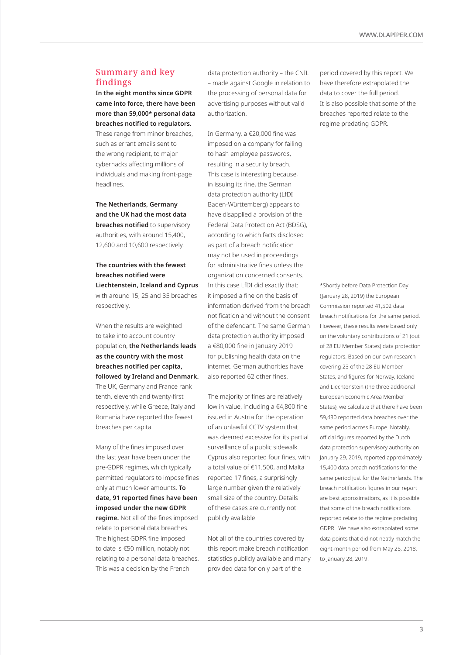### Summary and key findings

**In the eight months since GDPR came into force, there have been more than 59,000\* personal data breaches notified to regulators.**

These range from minor breaches, such as errant emails sent to the wrong recipient, to major cyberhacks affecting millions of individuals and making front-page headlines.

**The Netherlands, Germany and the UK had the most data breaches notified** to supervisory authorities, with around 15,400, 12,600 and 10,600 respectively.

**The countries with the fewest breaches notified were Liechtenstein, Iceland and Cyprus** with around 15, 25 and 35 breaches respectively.

When the results are weighted to take into account country population, **the Netherlands leads as the country with the most breaches notified per capita, followed by Ireland and Denmark.** The UK, Germany and France rank tenth, eleventh and twenty-first respectively, while Greece, Italy and Romania have reported the fewest breaches per capita.

Many of the fines imposed over the last year have been under the pre-GDPR regimes, which typically permitted regulators to impose fines only at much lower amounts. **To date, 91 reported fines have been imposed under the new GDPR regime.** Not all of the fines imposed relate to personal data breaches. The highest GDPR fine imposed to date is €50 million, notably not

relating to a personal data breaches. This was a decision by the French

data protection authority – the CNIL – made against Google in relation to the processing of personal data for advertising purposes without valid authorization.

In Germany, a €20,000 fine was imposed on a company for failing to hash employee passwords, resulting in a security breach. This case is interesting because, in issuing its fine, the German data protection authority (LfDI Baden-Württemberg) appears to have disapplied a provision of the Federal Data Protection Act (BDSG), according to which facts disclosed as part of a breach notification may not be used in proceedings for administrative fines unless the organization concerned consents. In this case LfDI did exactly that: it imposed a fine on the basis of information derived from the breach notification and without the consent of the defendant. The same German data protection authority imposed a €80,000 fine in January 2019 for publishing health data on the internet. German authorities have also reported 62 other fines.

The majority of fines are relatively low in value, including a €4,800 fine issued in Austria for the operation of an unlawful CCTV system that was deemed excessive for its partial surveillance of a public sidewalk. Cyprus also reported four fines, with a total value of €11,500, and Malta reported 17 fines, a surprisingly large number given the relatively small size of the country. Details of these cases are currently not publicly available.

Not all of the countries covered by this report make breach notification statistics publicly available and many provided data for only part of the

period covered by this report. We have therefore extrapolated the data to cover the full period. It is also possible that some of the breaches reported relate to the regime predating GDPR.

\*Shortly before Data Protection Day (January 28, 2019) the European Commission reported 41,502 data breach notifications for the same period. However, these results were based only on the voluntary contributions of 21 (out of 28 EU Member States) data protection regulators. Based on our own research covering 23 of the 28 EU Member States, and figures for Norway, Iceland and Liechtenstein (the three additional European Economic Area Member States), we calculate that there have been 59,430 reported data breaches over the same period across Europe. Notably, official figures reported by the Dutch data protection supervisory authority on January 29, 2019, reported approximately 15,400 data breach notifications for the same period just for the Netherlands. The breach notification figures in our report are best approximations, as it is possible that some of the breach notifications reported relate to the regime predating GDPR. We have also extrapolated some data points that did not neatly match the eight-month period from May 25, 2018, to January 28, 2019.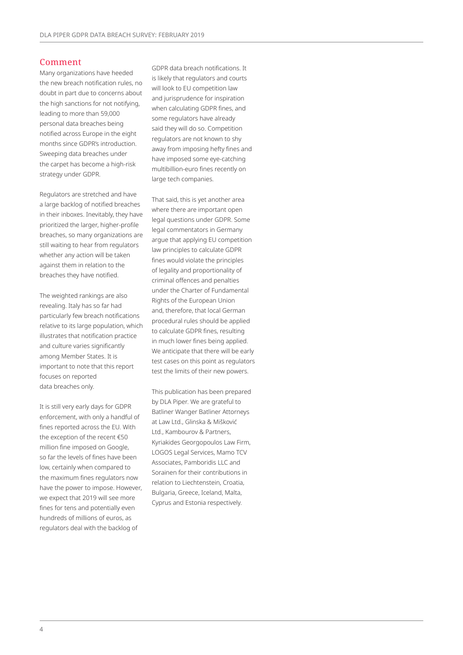#### Comment

Many organizations have heeded the new breach notification rules, no doubt in part due to concerns about the high sanctions for not notifying, leading to more than 59,000 personal data breaches being notified across Europe in the eight months since GDPR's introduction. Sweeping data breaches under the carpet has become a high-risk strategy under GDPR.

Regulators are stretched and have a large backlog of notified breaches in their inboxes. Inevitably, they have prioritized the larger, higher-profile breaches, so many organizations are still waiting to hear from regulators whether any action will be taken against them in relation to the breaches they have notified.

The weighted rankings are also revealing. Italy has so far had particularly few breach notifications relative to its large population, which illustrates that notification practice and culture varies significantly among Member States. It is important to note that this report focuses on reported data breaches only.

It is still very early days for GDPR enforcement, with only a handful of fines reported across the EU. With the exception of the recent €50 million fine imposed on Google, so far the levels of fines have been low, certainly when compared to the maximum fines regulators now have the power to impose. However, we expect that 2019 will see more fines for tens and potentially even hundreds of millions of euros, as regulators deal with the backlog of

GDPR data breach notifications. It is likely that regulators and courts will look to EU competition law and jurisprudence for inspiration when calculating GDPR fines, and some regulators have already said they will do so. Competition regulators are not known to shy away from imposing hefty fines and have imposed some eye-catching multibillion-euro fines recently on large tech companies.

That said, this is yet another area where there are important open legal questions under GDPR. Some legal commentators in Germany argue that applying EU competition law principles to calculate GDPR fines would violate the principles of legality and proportionality of criminal offences and penalties under the Charter of Fundamental Rights of the European Union and, therefore, that local German procedural rules should be applied to calculate GDPR fines, resulting in much lower fines being applied. We anticipate that there will be early test cases on this point as regulators test the limits of their new powers.

This publication has been prepared by DLA Piper. We are grateful to Batliner Wanger Batliner Attorneys at Law Ltd., Glinska & Mišković Ltd., Kambourov & Partners, Kyriakides Georgopoulos Law Firm, LOGOS Legal Services, Mamo TCV Associates, Pamboridis LLC and Sorainen for their contributions in relation to Liechtenstein, Croatia, Bulgaria, Greece, Iceland, Malta, Cyprus and Estonia respectively.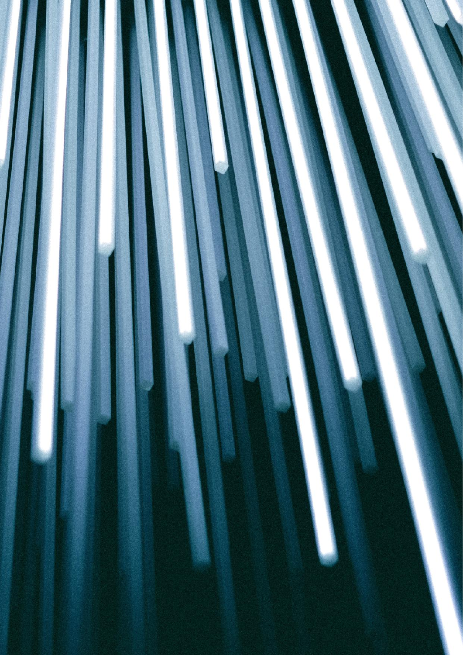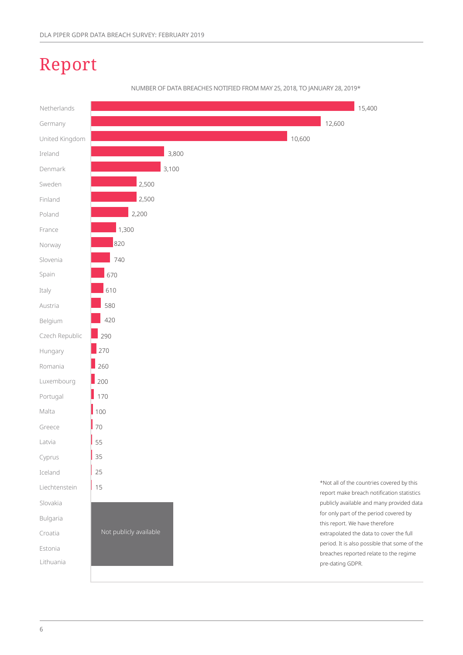## Report



NUMBER OF DATA BREACHES NOTIFIED FROM MAY 25, 2018, TO JANUARY 28, 2019\*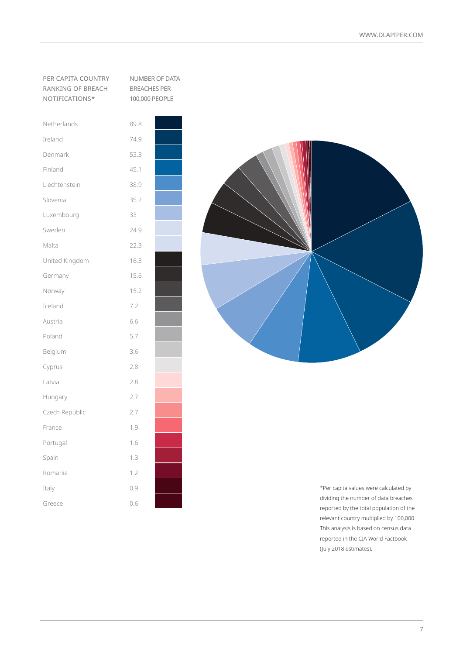#### PER CAPITA COUNTRY RANKING OF BREACH NOTIFICATIONS\* NUMBER OF DATA BREACHES PER 100,000 PEOPLE

| Netherlands    | 89.8 |  |
|----------------|------|--|
| Ireland        | 74.9 |  |
| Denmark        | 53.3 |  |
| Finland        | 45.1 |  |
| Liechtenstein  | 38.9 |  |
| Slovenia       | 35.2 |  |
| Luxembourg     | 33   |  |
| Sweden         | 24.9 |  |
| Malta          | 22.3 |  |
| United Kingdom | 16.3 |  |
| Germany        | 15.6 |  |
| Norway         | 15.2 |  |
| Iceland        | 7.2  |  |
| Austria        | 6.6  |  |
| Poland         | 5.7  |  |
| Belgium        | 3.6  |  |
| Cyprus         | 2.8  |  |
| Latvia         | 2.8  |  |
| Hungary        | 2.7  |  |
| Czech Republic | 2.7  |  |
| France         | 1.9  |  |
| Portugal       | 1.6  |  |
| Spain          | 1.3  |  |
| Romania        | 1.2  |  |
| Italy          | 0.9  |  |
| Greece         | 0.6  |  |



\*Per capita values were calculated by dividing the number of data breaches reported by the total population of the relevant country multiplied by 100,000. This analysis is based on census data reported in the CIA World Factbook (July 2018 estimates).